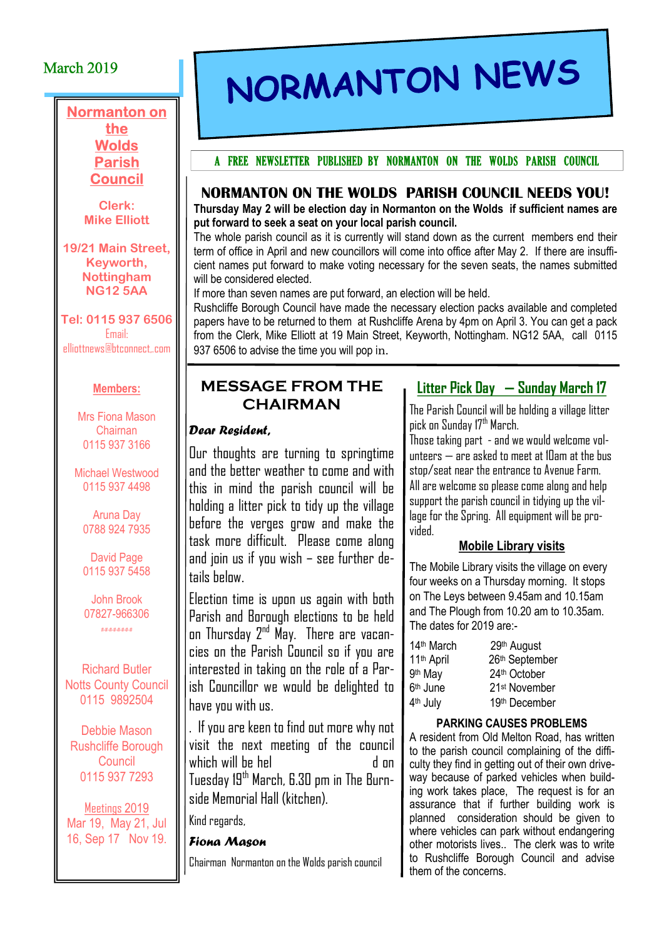## March 2019

#### Normanton on the **Wolds** Parish Council

Clerk: Mike Elliott

19/21 Main Street, Keyworth, Nottingham NG12 5AA

Tel: 0115 937 6506 Email: elliottnews@btconnect,.com

#### Members:

Mrs Fiona Mason Chairnan 0115 937 3166

Michael Westwood 0115 937 4498

Aruna Day 0788 924 7935

David Page 0115 937 5458

John Brook 07827-966306 #-#-#-#-#-#-#-#

Richard Butler **Notts County Council** 0115 9892504

Debbie Mason Rushcliffe Borough **Council** 0115 937 7293

Meetings 2019 Mar 19, May 21, Jul 16, Sep 17 Nov 19.

# NORMANTON NEWS

#### A FREE NEWSLETTER PUBLISHED BY NORMANTON ON THE WOLDS PARISH COUNCIL

#### NORMANTON ON THE WOLDS PARISH COUNCIL NEEDS YOU!

Thursday May 2 will be election day in Normanton on the Wolds if sufficient names are put forward to seek a seat on your local parish council.

The whole parish council as it is currently will stand down as the current members end their term of office in April and new councillors will come into office after May 2. If there are insufficient names put forward to make voting necessary for the seven seats, the names submitted will be considered elected.

If more than seven names are put forward, an election will be held.

Rushcliffe Borough Council have made the necessary election packs available and completed papers have to be returned to them at Rushcliffe Arena by 4pm on April 3. You can get a pack from the Clerk, Mike Elliott at 19 Main Street, Keyworth, Nottingham. NG12 5AA, call 0115 937 6506 to advise the time you will pop in.

### MESSAGE FROM THE CHAIRMAN

#### Dear Resident,

Our thoughts are turning to springtime and the better weather to come and with this in mind the parish council will be holding a litter pick to tidy up the village before the verges grow and make the task more difficult. Please come along and join us if you wish – see further details below.

Election time is upon us again with both Parish and Borough elections to be held on Thursday 2<sup>nd</sup> May. There are vacancies on the Parish Council so if you are interested in taking on the role of a Parish Councillor we would be delighted to have you with us.

. If you are keen to find out more why not visit the next meeting of the council which will be hel d on Tuesday 19<sup>th</sup> March, 6.30 pm in The Burnside Memorial Hall (kitchen).

Kind regards,

#### Fiona Mason

Chairman Normanton on the Wolds parish council

# Litter Pick Day — Sunday March 17

The Parish Council will be holding a village litter pick on Sunday 17th March.

Those taking part - and we would welcome volunteers  $-$  are asked to meet at 10am at the bus stop/seat near the entrance to Avenue Farm. All are welcome so please come along and help support the parish council in tidying up the village for the Spring. All equipment will be provided.

#### Mobile Library visits

The Mobile Library visits the village on every four weeks on a Thursday morning. It stops on The Leys between 9.45am and 10.15am and The Plough from 10.20 am to 10.35am. The dates for 2019 are:-

| 14th March           | 29th August               |
|----------------------|---------------------------|
| 11th April           | 26th September            |
| 9th May              | 24th October              |
| 6 <sup>th</sup> June | 21 <sup>st</sup> November |
| 4 <sup>th</sup> July | 19th December             |

#### PARKING CAUSES PROBLEMS

A resident from Old Melton Road, has written to the parish council complaining of the difficulty they find in getting out of their own driveway because of parked vehicles when building work takes place, The request is for an assurance that if further building work is planned consideration should be given to where vehicles can park without endangering other motorists lives.. The clerk was to write to Rushcliffe Borough Council and advise them of the concerns.